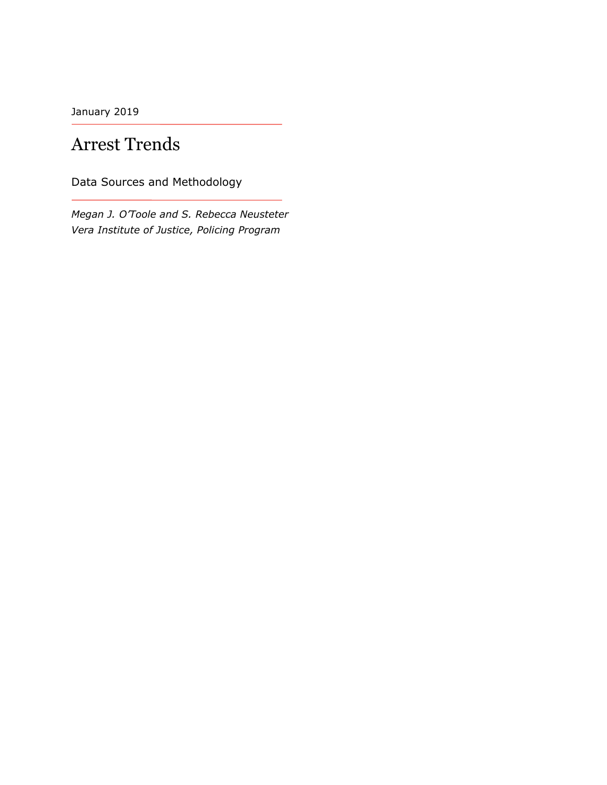January 2019

# Arrest Trends

Data Sources and Methodology

*Megan J. O'Toole and S. Rebecca Neusteter Vera Institute of Justice, Policing Program*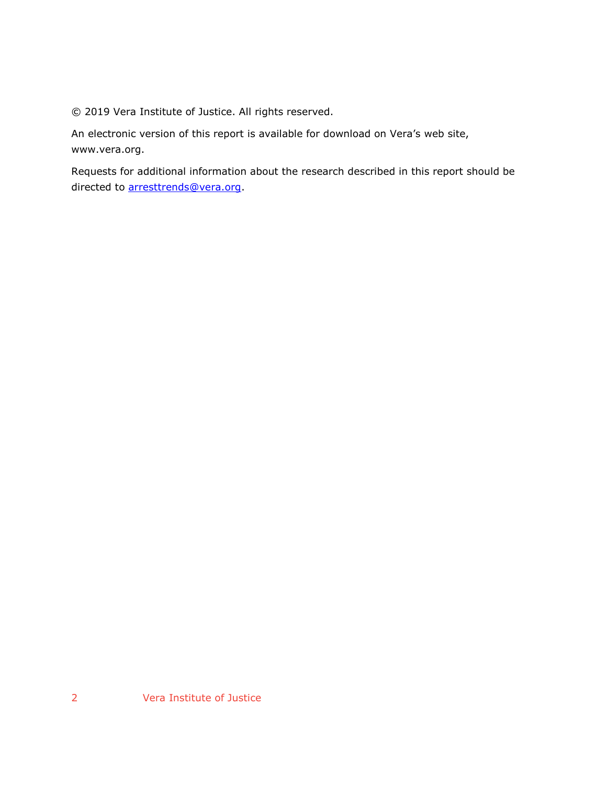© 2019 Vera Institute of Justice. All rights reserved.

An electronic version of this report is available for download on Vera's web site, www.vera.org.

Requests for additional information about the research described in this report should be directed to [arresttrends@vera.org.](mailto:arresttrends@vera.org)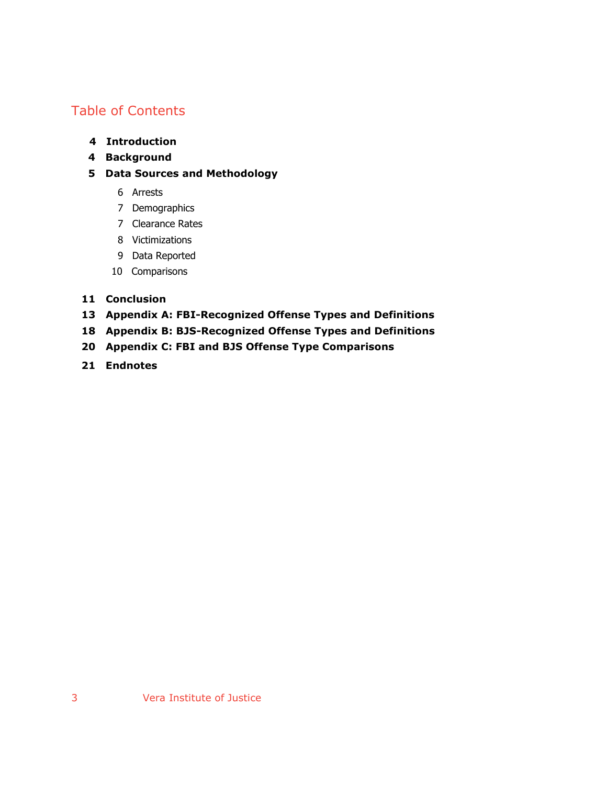### Table of Contents

- **4 Introduction**
- **4 Background**
- **5 Data Sources and Methodology**
	- 6 Arrests
	- 7 Demographics
	- 7 Clearance Rates
	- 8 Victimizations
	- 9 Data Reported
	- 10 Comparisons

### **11 Conclusion**

- **13 Appendix A: FBI-Recognized Offense Types and Definitions**
- **18 Appendix B: BJS-Recognized Offense Types and Definitions**
- **20 Appendix C: FBI and BJS Offense Type Comparisons**
- **21 Endnotes**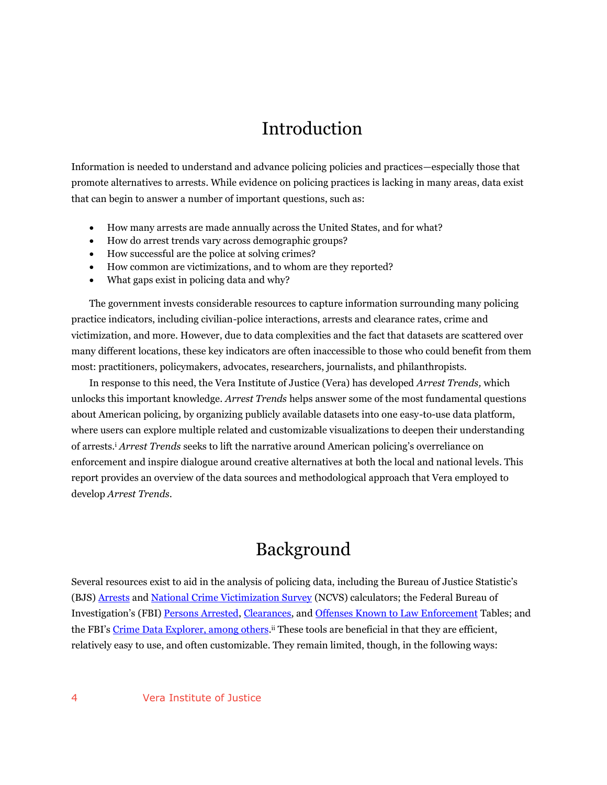# Introduction

Information is needed to understand and advance policing policies and practices—especially those that promote alternatives to arrests. While evidence on policing practices is lacking in many areas, data exist that can begin to answer a number of important questions, such as:

- How many arrests are made annually across the United States, and for what?
- How do arrest trends vary across demographic groups?
- How successful are the police at solving crimes?
- How common are victimizations, and to whom are they reported?
- What gaps exist in policing data and why?

The government invests considerable resources to capture information surrounding many policing practice indicators, including civilian-police interactions, arrests and clearance rates, crime and victimization, and more. However, due to data complexities and the fact that datasets are scattered over many different locations, these key indicators are often inaccessible to those who could benefit from them most: practitioners, policymakers, advocates, researchers, journalists, and philanthropists.

In response to this need, the Vera Institute of Justice (Vera) has developed *Arrest Trends,* which unlocks this important knowledge. *Arrest Trends* helps answer some of the most fundamental questions about American policing, by organizing publicly available datasets into one easy-to-use data platform, where users can explore multiple related and customizable visualizations to deepen their understanding of arrests.<sup>i</sup> *Arrest Trends* seeks to lift the narrative around American policing's overreliance on enforcement and inspire dialogue around creative alternatives at both the local and national levels. This report provides an overview of the data sources and methodological approach that Vera employed to develop *Arrest Trends*.

## Background

Several resources exist to aid in the analysis of policing data, including the Bureau of Justice Statistic's (BJS) [Arrests](https://www.bjs.gov/index.cfm?ty=datool&surl=/arrests/index.cfm&ed2f26df2d9c416fbddddd2330a778c6=hekdkpkjps-hsypsyyp) an[d National Crime Victimization Survey](https://www.bjs.gov/index.cfm?ty=nvat) (NCVS) calculators; the Federal Bureau of Investigation's (FBI) [Persons Arrested,](https://ucr.fbi.gov/crime-in-the-u.s/2016/crime-in-the-u.s.-2016/topic-pages/persons-arrested) [Clearances,](https://ucr.fbi.gov/crime-in-the-u.s/2016/crime-in-the-u.s.-2016/topic-pages/clearances) and [Offenses Known to Law Enforcement](https://ucr.fbi.gov/crime-in-the-u.s/2016/crime-in-the-u.s.-2016/topic-pages/offenses-known-to-law-enforcement) Tables; and the FBI's [Crime Data Explorer,](https://crime-data-explorer.fr.cloud.gov/) among others.<sup>ii</sup> These tools are beneficial in that they are efficient, relatively easy to use, and often customizable. They remain limited, though, in the following ways: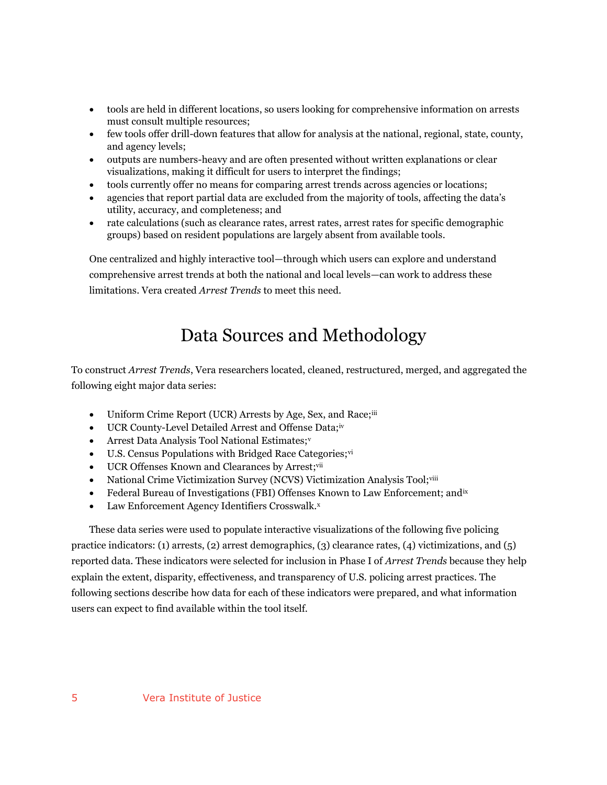- tools are held in different locations, so users looking for comprehensive information on arrests must consult multiple resources;
- few tools offer drill-down features that allow for analysis at the national, regional, state, county, and agency levels;
- outputs are numbers-heavy and are often presented without written explanations or clear visualizations, making it difficult for users to interpret the findings;
- tools currently offer no means for comparing arrest trends across agencies or locations;
- agencies that report partial data are excluded from the majority of tools, affecting the data's utility, accuracy, and completeness; and
- rate calculations (such as clearance rates, arrest rates, arrest rates for specific demographic groups) based on resident populations are largely absent from available tools.

One centralized and highly interactive tool—through which users can explore and understand comprehensive arrest trends at both the national and local levels—can work to address these limitations. Vera created *Arrest Trends* to meet this need.

# Data Sources and Methodology

To construct *Arrest Trends*, Vera researchers located, cleaned, restructured, merged, and aggregated the following eight major data series:

- Uniform Crime Report (UCR) Arrests by Age, Sex, and Race;<sup>iii</sup>
- UCR County-Level Detailed Arrest and Offense Data;iv
- Arrest Data Analysis Tool National Estimates;v
- $\bullet$  U.S. Census Populations with Bridged Race Categories; vi
- UCR Offenses Known and Clearances by Arrest;vii
- National Crime Victimization Survey (NCVS) Victimization Analysis Tool;viii
- Federal Bureau of Investigations (FBI) Offenses Known to Law Enforcement; and  $\alpha$
- Law Enforcement Agency Identifiers Crosswalk.x

These data series were used to populate interactive visualizations of the following five policing practice indicators: (1) arrests, (2) arrest demographics, (3) clearance rates, (4) victimizations, and (5) reported data. These indicators were selected for inclusion in Phase I of *Arrest Trends* because they help explain the extent, disparity, effectiveness, and transparency of U.S. policing arrest practices. The following sections describe how data for each of these indicators were prepared, and what information users can expect to find available within the tool itself.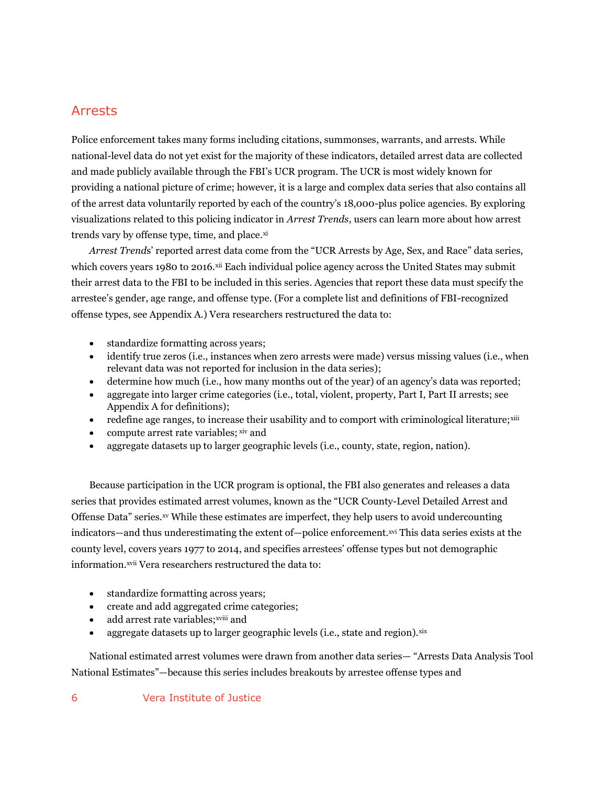### Arrests

Police enforcement takes many forms including citations, summonses, warrants, and arrests. While national-level data do not yet exist for the majority of these indicators, detailed arrest data are collected and made publicly available through the FBI's UCR program. The UCR is most widely known for providing a national picture of crime; however, it is a large and complex data series that also contains all of the arrest data voluntarily reported by each of the country's 18,000-plus police agencies. By exploring visualizations related to this policing indicator in *Arrest Trends*, users can learn more about how arrest trends vary by offense type, time, and place.xi

*Arrest Trend*s' reported arrest data come from the "UCR Arrests by Age, Sex, and Race" data series, which covers years 1980 to 2016.<sup>xii</sup> Each individual police agency across the United States may submit their arrest data to the FBI to be included in this series. Agencies that report these data must specify the arrestee's gender, age range, and offense type. (For a complete list and definitions of FBI-recognized offense types, see Appendix A.) Vera researchers restructured the data to:

- standardize formatting across years;
- identify true zeros (i.e., instances when zero arrests were made) versus missing values (i.e., when relevant data was not reported for inclusion in the data series);
- determine how much (i.e., how many months out of the year) of an agency's data was reported;
- aggregate into larger crime categories (i.e., total, violent, property, Part I, Part II arrests; see Appendix A for definitions);
- redefine age ranges, to increase their usability and to comport with criminological literature;<sup>xiii</sup>
- compute arrest rate variables; xiv and
- aggregate datasets up to larger geographic levels (i.e., county, state, region, nation).

Because participation in the UCR program is optional, the FBI also generates and releases a data series that provides estimated arrest volumes, known as the "UCR County-Level Detailed Arrest and Offense Data" series.xv While these estimates are imperfect, they help users to avoid undercounting indicators—and thus underestimating the extent of—police enforcement.xvi This data series exists at the county level, covers years 1977 to 2014, and specifies arrestees' offense types but not demographic information.<sup>xvii</sup> Vera researchers restructured the data to:

- standardize formatting across years;
- create and add aggregated crime categories;
- add arrest rate variables; xviii and
- aggregate datasets up to larger geographic levels (i.e., state and region). xix

National estimated arrest volumes were drawn from another data series— "Arrests Data Analysis Tool National Estimates"—because this series includes breakouts by arrestee offense types and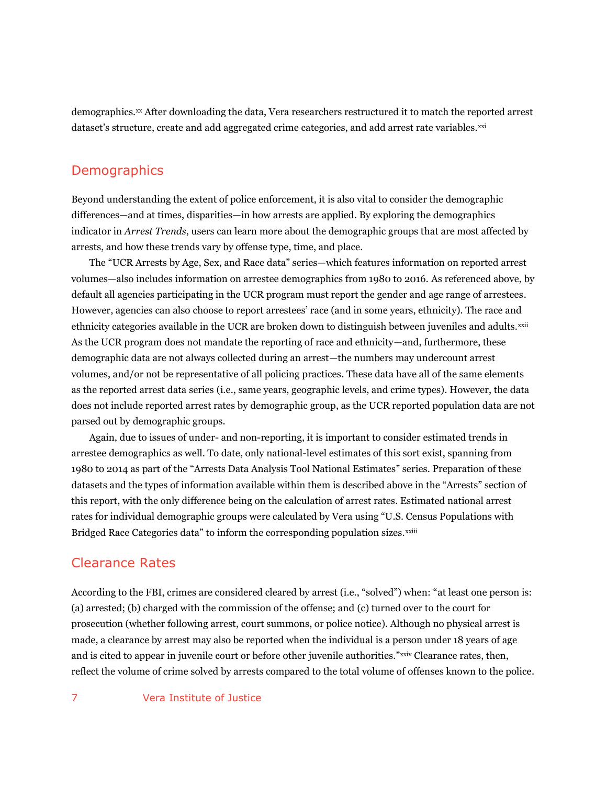demographics.<sup>xx</sup> After downloading the data, Vera researchers restructured it to match the reported arrest dataset's structure, create and add aggregated crime categories, and add arrest rate variables.<sup>xxi</sup>

### **Demographics**

Beyond understanding the extent of police enforcement, it is also vital to consider the demographic differences—and at times, disparities—in how arrests are applied. By exploring the demographics indicator in *Arrest Trends*, users can learn more about the demographic groups that are most affected by arrests, and how these trends vary by offense type, time, and place.

The "UCR Arrests by Age, Sex, and Race data" series—which features information on reported arrest volumes—also includes information on arrestee demographics from 1980 to 2016. As referenced above, by default all agencies participating in the UCR program must report the gender and age range of arrestees. However, agencies can also choose to report arrestees' race (and in some years, ethnicity). The race and ethnicity categories available in the UCR are broken down to distinguish between juveniles and adults.xxii As the UCR program does not mandate the reporting of race and ethnicity—and, furthermore, these demographic data are not always collected during an arrest—the numbers may undercount arrest volumes, and/or not be representative of all policing practices. These data have all of the same elements as the reported arrest data series (i.e., same years, geographic levels, and crime types). However, the data does not include reported arrest rates by demographic group, as the UCR reported population data are not parsed out by demographic groups.

Again, due to issues of under- and non-reporting, it is important to consider estimated trends in arrestee demographics as well. To date, only national-level estimates of this sort exist, spanning from 1980 to 2014 as part of the "Arrests Data Analysis Tool National Estimates" series. Preparation of these datasets and the types of information available within them is described above in the "Arrests" section of this report, with the only difference being on the calculation of arrest rates. Estimated national arrest rates for individual demographic groups were calculated by Vera using "U.S. Census Populations with Bridged Race Categories data" to inform the corresponding population sizes.<sup>xxiii</sup>

### Clearance Rates

According to the FBI, crimes are considered cleared by arrest (i.e., "solved") when: "at least one person is: (a) arrested; (b) charged with the commission of the offense; and (c) turned over to the court for prosecution (whether following arrest, court summons, or police notice). Although no physical arrest is made, a clearance by arrest may also be reported when the individual is a person under 18 years of age and is cited to appear in juvenile court or before other juvenile authorities."<sup>xxiv</sup> Clearance rates, then, reflect the volume of crime solved by arrests compared to the total volume of offenses known to the police.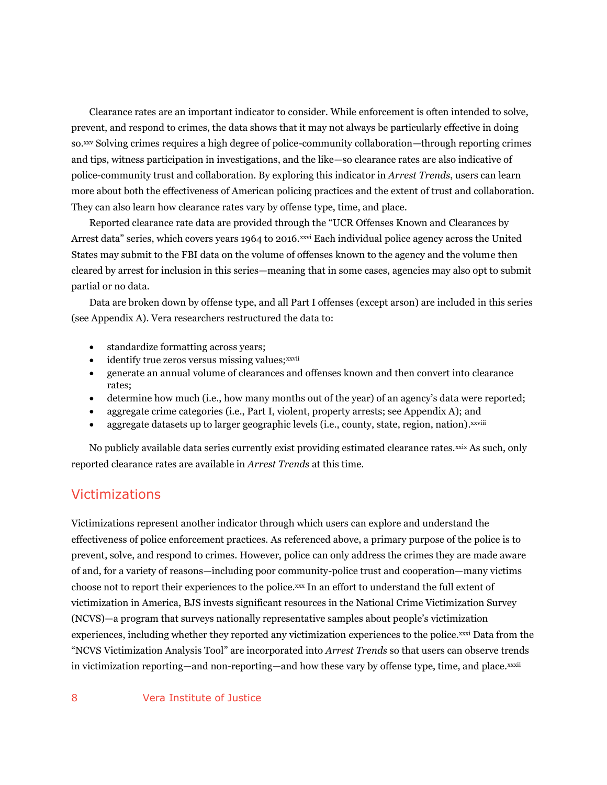Clearance rates are an important indicator to consider. While enforcement is often intended to solve, prevent, and respond to crimes, the data shows that it may not always be particularly effective in doing so.xxv Solving crimes requires a high degree of police-community collaboration—through reporting crimes and tips, witness participation in investigations, and the like—so clearance rates are also indicative of police-community trust and collaboration. By exploring this indicator in *Arrest Trends*, users can learn more about both the effectiveness of American policing practices and the extent of trust and collaboration. They can also learn how clearance rates vary by offense type, time, and place.

Reported clearance rate data are provided through the "UCR Offenses Known and Clearances by Arrest data" series, which covers years 1964 to 2016.<sup>xxvi</sup> Each individual police agency across the United States may submit to the FBI data on the volume of offenses known to the agency and the volume then cleared by arrest for inclusion in this series—meaning that in some cases, agencies may also opt to submit partial or no data.

Data are broken down by offense type, and all Part I offenses (except arson) are included in this series (see Appendix A). Vera researchers restructured the data to:

- standardize formatting across years;
- identify true zeros versus missing values; xxvii
- generate an annual volume of clearances and offenses known and then convert into clearance rates;
- determine how much (i.e., how many months out of the year) of an agency's data were reported;
- aggregate crime categories (i.e., Part I, violent, property arrests; see Appendix A); and
- aggregate datasets up to larger geographic levels (i.e., county, state, region, nation).<sup>xxviii</sup>

No publicly available data series currently exist providing estimated clearance rates.<sup>xxix</sup> As such, only reported clearance rates are available in *Arrest Trends* at this time.

### Victimizations

Victimizations represent another indicator through which users can explore and understand the effectiveness of police enforcement practices. As referenced above, a primary purpose of the police is to prevent, solve, and respond to crimes. However, police can only address the crimes they are made aware of and, for a variety of reasons—including poor community-police trust and cooperation—many victims choose not to report their experiences to the police.xxx In an effort to understand the full extent of victimization in America, BJS invests significant resources in the National Crime Victimization Survey (NCVS)—a program that surveys nationally representative samples about people's victimization experiences, including whether they reported any victimization experiences to the police.xxxi Data from the "NCVS Victimization Analysis Tool" are incorporated into *Arrest Trends* so that users can observe trends in victimization reporting—and non-reporting—and how these vary by offense type, time, and place.xxxii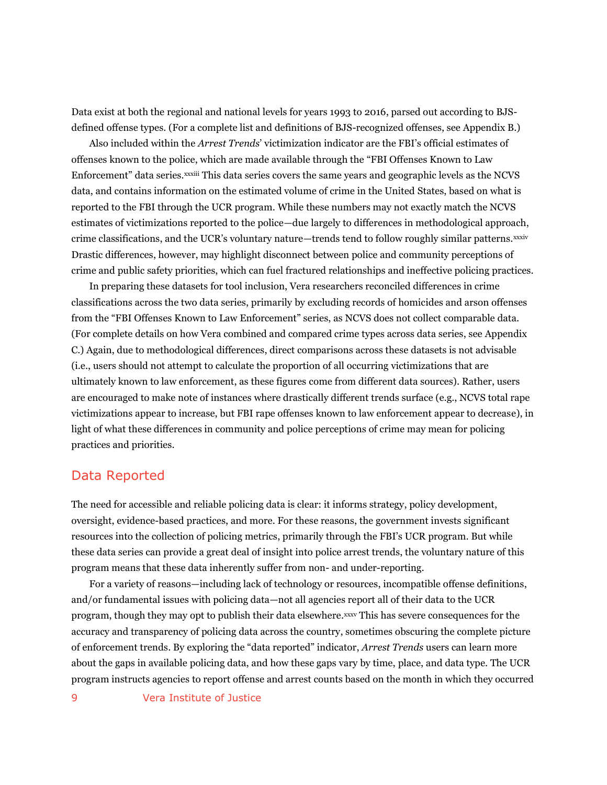Data exist at both the regional and national levels for years 1993 to 2016, parsed out according to BJSdefined offense types. (For a complete list and definitions of BJS-recognized offenses, see Appendix B.)

Also included within the *Arrest Trends*' victimization indicator are the FBI's official estimates of offenses known to the police, which are made available through the "FBI Offenses Known to Law Enforcement" data series.xxxiii This data series covers the same years and geographic levels as the NCVS data, and contains information on the estimated volume of crime in the United States, based on what is reported to the FBI through the UCR program. While these numbers may not exactly match the NCVS estimates of victimizations reported to the police—due largely to differences in methodological approach, crime classifications, and the UCR's voluntary nature—trends tend to follow roughly similar patterns.xxxiv Drastic differences, however, may highlight disconnect between police and community perceptions of crime and public safety priorities, which can fuel fractured relationships and ineffective policing practices.

In preparing these datasets for tool inclusion, Vera researchers reconciled differences in crime classifications across the two data series, primarily by excluding records of homicides and arson offenses from the "FBI Offenses Known to Law Enforcement" series, as NCVS does not collect comparable data. (For complete details on how Vera combined and compared crime types across data series, see Appendix C.) Again, due to methodological differences, direct comparisons across these datasets is not advisable (i.e., users should not attempt to calculate the proportion of all occurring victimizations that are ultimately known to law enforcement, as these figures come from different data sources). Rather, users are encouraged to make note of instances where drastically different trends surface (e.g., NCVS total rape victimizations appear to increase, but FBI rape offenses known to law enforcement appear to decrease), in light of what these differences in community and police perceptions of crime may mean for policing practices and priorities.

### Data Reported

The need for accessible and reliable policing data is clear: it informs strategy, policy development, oversight, evidence-based practices, and more. For these reasons, the government invests significant resources into the collection of policing metrics, primarily through the FBI's UCR program. But while these data series can provide a great deal of insight into police arrest trends, the voluntary nature of this program means that these data inherently suffer from non- and under-reporting.

For a variety of reasons—including lack of technology or resources, incompatible offense definitions, and/or fundamental issues with policing data—not all agencies report all of their data to the UCR program, though they may opt to publish their data elsewhere. xxxv This has severe consequences for the accuracy and transparency of policing data across the country, sometimes obscuring the complete picture of enforcement trends. By exploring the "data reported" indicator, *Arrest Trends* users can learn more about the gaps in available policing data, and how these gaps vary by time, place, and data type. The UCR program instructs agencies to report offense and arrest counts based on the month in which they occurred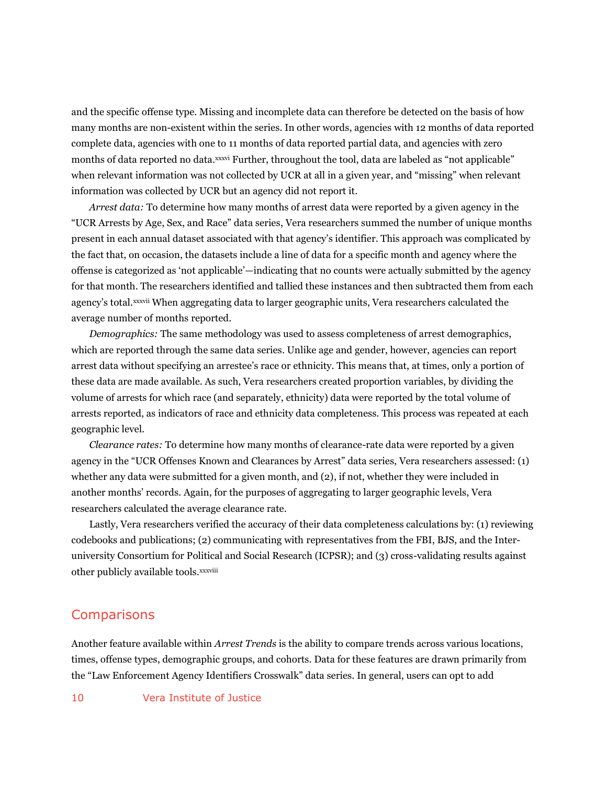and the specific offense type. Missing and incomplete data can therefore be detected on the basis of how many months are non-existent within the series. In other words, agencies with 12 months of data reported complete data, agencies with one to 11 months of data reported partial data, and agencies with zero months of data reported no data. xxxvi Further, throughout the tool, data are labeled as "not applicable" when relevant information was not collected by UCR at all in a given year, and "missing" when relevant information was collected by UCR but an agency did not report it.

*Arrest data:* To determine how many months of arrest data were reported by a given agency in the "UCR Arrests by Age, Sex, and Race" data series, Vera researchers summed the number of unique months present in each annual dataset associated with that agency's identifier. This approach was complicated by the fact that, on occasion, the datasets include a line of data for a specific month and agency where the offense is categorized as 'not applicable'—indicating that no counts were actually submitted by the agency for that month. The researchers identified and tallied these instances and then subtracted them from each agency's total. xxxvii When aggregating data to larger geographic units, Vera researchers calculated the average number of months reported.

*Demographics:* The same methodology was used to assess completeness of arrest demographics, which are reported through the same data series. Unlike age and gender, however, agencies can report arrest data without specifying an arrestee's race or ethnicity. This means that, at times, only a portion of these data are made available. As such, Vera researchers created proportion variables, by dividing the volume of arrests for which race (and separately, ethnicity) data were reported by the total volume of arrests reported, as indicators of race and ethnicity data completeness. This process was repeated at each geographic level.

*Clearance rates:* To determine how many months of clearance-rate data were reported by a given agency in the "UCR Offenses Known and Clearances by Arrest" data series, Vera researchers assessed: (1) whether any data were submitted for a given month, and (2), if not, whether they were included in another months' records. Again, for the purposes of aggregating to larger geographic levels, Vera researchers calculated the average clearance rate.

Lastly, Vera researchers verified the accuracy of their data completeness calculations by: (1) reviewing codebooks and publications; (2) communicating with representatives from the FBI, BJS, and the Interuniversity Consortium for Political and Social Research (ICPSR); and (3) cross-validating results against other publicly available tools.xxxviii

### **Comparisons**

Another feature available within *Arrest Trends* is the ability to compare trends across various locations, times, offense types, demographic groups, and cohorts. Data for these features are drawn primarily from the "Law Enforcement Agency Identifiers Crosswalk" data series. In general, users can opt to add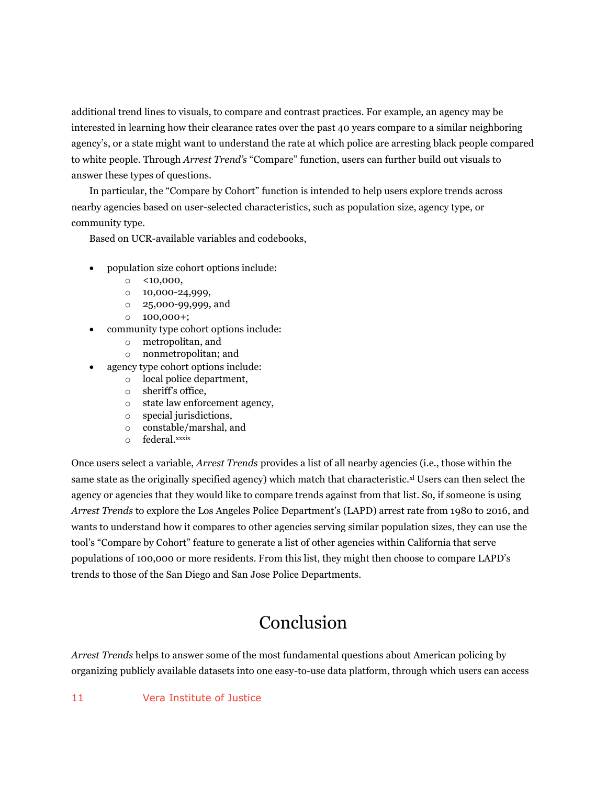additional trend lines to visuals, to compare and contrast practices. For example, an agency may be interested in learning how their clearance rates over the past 40 years compare to a similar neighboring agency's, or a state might want to understand the rate at which police are arresting black people compared to white people. Through *Arrest Trend's* "Compare" function, users can further build out visuals to answer these types of questions.

In particular, the "Compare by Cohort" function is intended to help users explore trends across nearby agencies based on user-selected characteristics, such as population size, agency type, or community type.

Based on UCR-available variables and codebooks,

- population size cohort options include:
	- $\circ$  <10,000,
	- o 10,000-24,999,
	- o 25,000-99,999, and
	- $0$  100,000+;
- community type cohort options include:
	- o metropolitan, and
	- o nonmetropolitan; and
- agency type cohort options include:
	- o local police department,
	- o sheriff's office,
	- o state law enforcement agency,
	- o special jurisdictions,
	- o constable/marshal, and
	- o federal.xxxix

Once users select a variable, *Arrest Trends* provides a list of all nearby agencies (i.e., those within the same state as the originally specified agency) which match that characteristic. $x$  Users can then select the agency or agencies that they would like to compare trends against from that list. So, if someone is using *Arrest Trends* to explore the Los Angeles Police Department's (LAPD) arrest rate from 1980 to 2016, and wants to understand how it compares to other agencies serving similar population sizes, they can use the tool's "Compare by Cohort" feature to generate a list of other agencies within California that serve populations of 100,000 or more residents. From this list, they might then choose to compare LAPD's trends to those of the San Diego and San Jose Police Departments.

# Conclusion

*Arrest Trends* helps to answer some of the most fundamental questions about American policing by organizing publicly available datasets into one easy-to-use data platform, through which users can access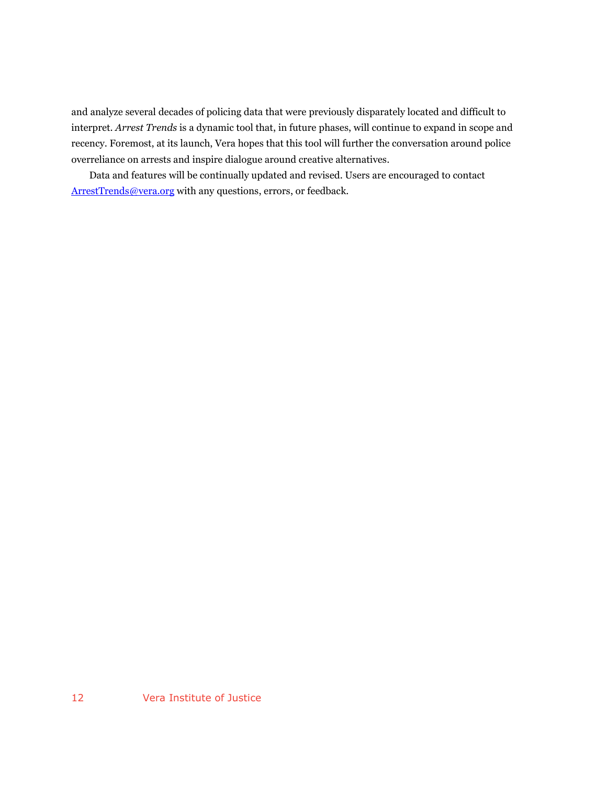and analyze several decades of policing data that were previously disparately located and difficult to interpret. *Arrest Trends* is a dynamic tool that, in future phases, will continue to expand in scope and recency. Foremost, at its launch, Vera hopes that this tool will further the conversation around police overreliance on arrests and inspire dialogue around creative alternatives.

Data and features will be continually updated and revised. Users are encouraged to contact [ArrestTrends@vera.org](mailto:ArrestTrends@vera.org) with any questions, errors, or feedback.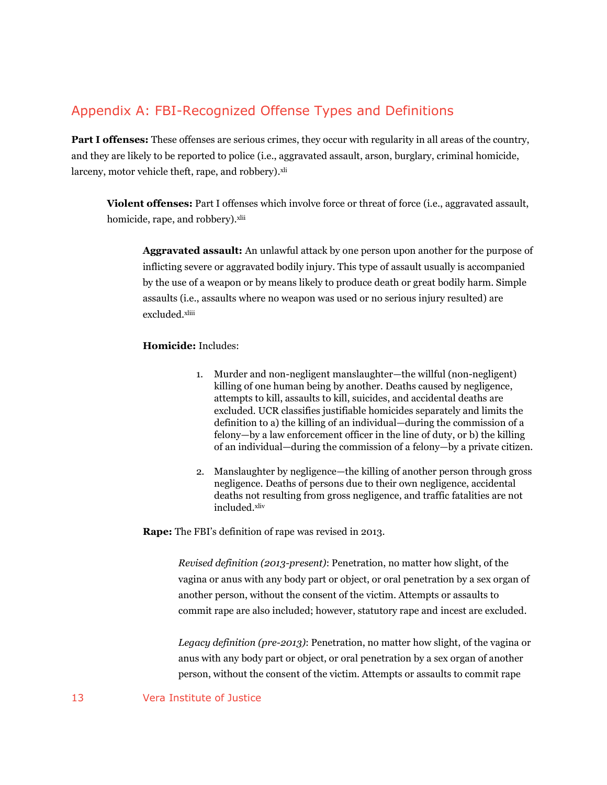### Appendix A: FBI-Recognized Offense Types and Definitions

**Part I offenses:** These offenses are serious crimes, they occur with regularity in all areas of the country, and they are likely to be reported to police (i.e., aggravated assault, arson, burglary, criminal homicide, larceny, motor vehicle theft, rape, and robbery).<sup>xli</sup>

**Violent offenses:** Part I offenses which involve force or threat of force (i.e., aggravated assault, homicide, rape, and robbery). xlii

**Aggravated assault:** An unlawful attack by one person upon another for the purpose of inflicting severe or aggravated bodily injury. This type of assault usually is accompanied by the use of a weapon or by means likely to produce death or great bodily harm. Simple assaults (i.e., assaults where no weapon was used or no serious injury resulted) are excluded.xliii

#### **Homicide:** Includes:

- 1. Murder and non-negligent manslaughter—the willful (non-negligent) killing of one human being by another. Deaths caused by negligence, attempts to kill, assaults to kill, suicides, and accidental deaths are excluded. UCR classifies justifiable homicides separately and limits the definition to a) the killing of an individual—during the commission of a felony—by a law enforcement officer in the line of duty, or b) the killing of an individual—during the commission of a felony—by a private citizen.
- 2. Manslaughter by negligence—the killing of another person through gross negligence. Deaths of persons due to their own negligence, accidental deaths not resulting from gross negligence, and traffic fatalities are not included. xliv

**Rape:** The FBI's definition of rape was revised in 2013.

*Revised definition (2013-present)*: Penetration, no matter how slight, of the vagina or anus with any body part or object, or oral penetration by a sex organ of another person, without the consent of the victim. Attempts or assaults to commit rape are also included; however, statutory rape and incest are excluded.

*Legacy definition (pre-2013)*: Penetration, no matter how slight, of the vagina or anus with any body part or object, or oral penetration by a sex organ of another person, without the consent of the victim. Attempts or assaults to commit rape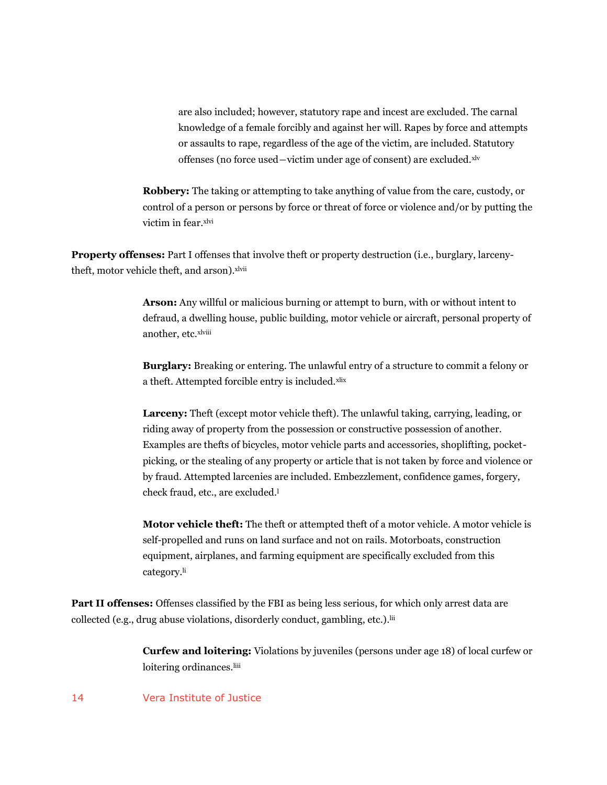are also included; however, statutory rape and incest are excluded. The carnal knowledge of a female forcibly and against her will. Rapes by force and attempts or assaults to rape, regardless of the age of the victim, are included. Statutory offenses (no force used―victim under age of consent) are excluded.xlv

**Robbery:** The taking or attempting to take anything of value from the care, custody, or control of a person or persons by force or threat of force or violence and/or by putting the victim in fear.xlvi

**Property offenses:** Part I offenses that involve theft or property destruction (i.e., burglary, larcenytheft, motor vehicle theft, and arson). xlvii

> **Arson:** Any willful or malicious burning or attempt to burn, with or without intent to defraud, a dwelling house, public building, motor vehicle or aircraft, personal property of another, etc.xlviii

> **Burglary:** Breaking or entering. The unlawful entry of a structure to commit a felony or a theft. Attempted forcible entry is included.xlix

**Larceny:** Theft (except motor vehicle theft). The unlawful taking, carrying, leading, or riding away of property from the possession or constructive possession of another. Examples are thefts of bicycles, motor vehicle parts and accessories, shoplifting, pocketpicking, or the stealing of any property or article that is not taken by force and violence or by fraud. Attempted larcenies are included. Embezzlement, confidence games, forgery, check fraud, etc., are excluded.<sup>1</sup>

**Motor vehicle theft:** The theft or attempted theft of a motor vehicle. A motor vehicle is self-propelled and runs on land surface and not on rails. Motorboats, construction equipment, airplanes, and farming equipment are specifically excluded from this category.li

**Part II offenses:** Offenses classified by the FBI as being less serious, for which only arrest data are collected (e.g., drug abuse violations, disorderly conduct, gambling, etc.). lii

> **Curfew and loitering:** Violations by juveniles (persons under age 18) of local curfew or loitering ordinances.<sup>liii</sup>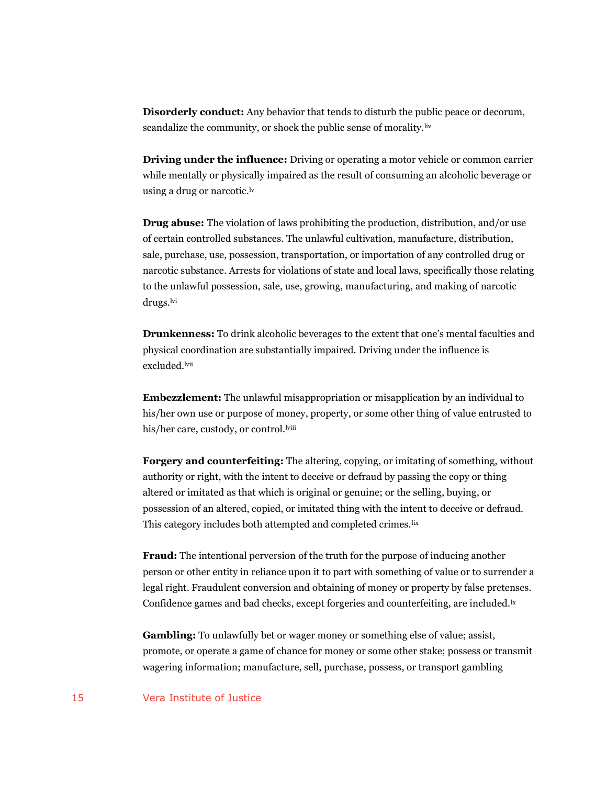**Disorderly conduct:** Any behavior that tends to disturb the public peace or decorum, scandalize the community, or shock the public sense of morality.<sup>liv</sup>

**Driving under the influence:** Driving or operating a motor vehicle or common carrier while mentally or physically impaired as the result of consuming an alcoholic beverage or using a drug or narcotic.<sup>lv</sup>

**Drug abuse:** The violation of laws prohibiting the production, distribution, and/or use of certain controlled substances. The unlawful cultivation, manufacture, distribution, sale, purchase, use, possession, transportation, or importation of any controlled drug or narcotic substance. Arrests for violations of state and local laws, specifically those relating to the unlawful possession, sale, use, growing, manufacturing, and making of narcotic drugs.<sup>lvi</sup>

**Drunkenness:** To drink alcoholic beverages to the extent that one's mental faculties and physical coordination are substantially impaired. Driving under the influence is excluded.<sup>lvii</sup>

**Embezzlement:** The unlawful misappropriation or misapplication by an individual to his/her own use or purpose of money, property, or some other thing of value entrusted to his/her care, custody, or control.<sup>lviii</sup>

**Forgery and counterfeiting:** The altering, copying, or imitating of something, without authority or right, with the intent to deceive or defraud by passing the copy or thing altered or imitated as that which is original or genuine; or the selling, buying, or possession of an altered, copied, or imitated thing with the intent to deceive or defraud. This category includes both attempted and completed crimes. lix

**Fraud:** The intentional perversion of the truth for the purpose of inducing another person or other entity in reliance upon it to part with something of value or to surrender a legal right. Fraudulent conversion and obtaining of money or property by false pretenses. Confidence games and bad checks, except forgeries and counterfeiting, are included.<sup>1x</sup>

**Gambling:** To unlawfully bet or wager money or something else of value; assist, promote, or operate a game of chance for money or some other stake; possess or transmit wagering information; manufacture, sell, purchase, possess, or transport gambling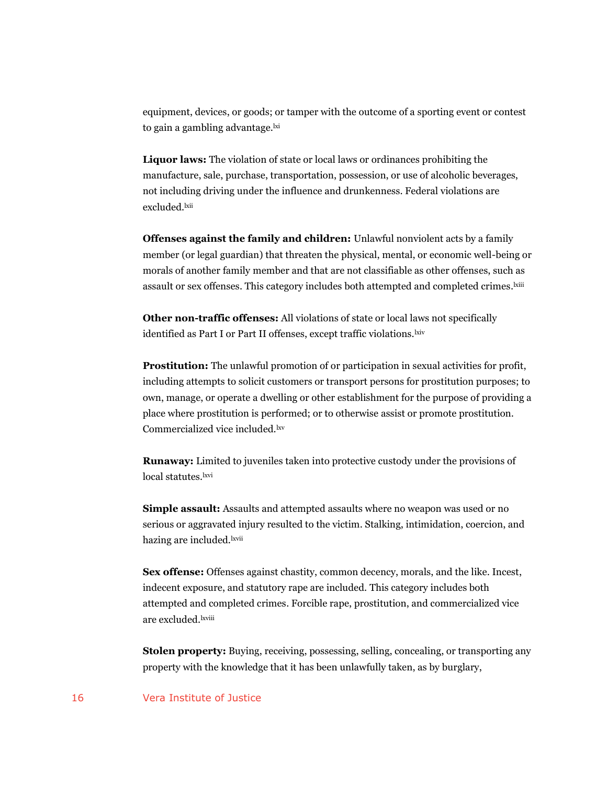equipment, devices, or goods; or tamper with the outcome of a sporting event or contest to gain a gambling advantage.<sup>lxi</sup>

**Liquor laws:** The violation of state or local laws or ordinances prohibiting the manufacture, sale, purchase, transportation, possession, or use of alcoholic beverages, not including driving under the influence and drunkenness. Federal violations are excluded.<sup>lxii</sup>

**Offenses against the family and children:** Unlawful nonviolent acts by a family member (or legal guardian) that threaten the physical, mental, or economic well-being or morals of another family member and that are not classifiable as other offenses, such as assault or sex offenses. This category includes both attempted and completed crimes.<sup>kiii</sup>

**Other non-traffic offenses:** All violations of state or local laws not specifically identified as Part I or Part II offenses, except traffic violations. Lxiv

**Prostitution:** The unlawful promotion of or participation in sexual activities for profit, including attempts to solicit customers or transport persons for prostitution purposes; to own, manage, or operate a dwelling or other establishment for the purpose of providing a place where prostitution is performed; or to otherwise assist or promote prostitution. Commercialized vice included.lxv

**Runaway:** Limited to juveniles taken into protective custody under the provisions of local statutes.<sup>kvi</sup>

**Simple assault:** Assaults and attempted assaults where no weapon was used or no serious or aggravated injury resulted to the victim. Stalking, intimidation, coercion, and hazing are included.<sup>lxvii</sup>

**Sex offense:** Offenses against chastity, common decency, morals, and the like. Incest, indecent exposure, and statutory rape are included. This category includes both attempted and completed crimes. Forcible rape, prostitution, and commercialized vice are excluded.lxviii

**Stolen property:** Buying, receiving, possessing, selling, concealing, or transporting any property with the knowledge that it has been unlawfully taken, as by burglary,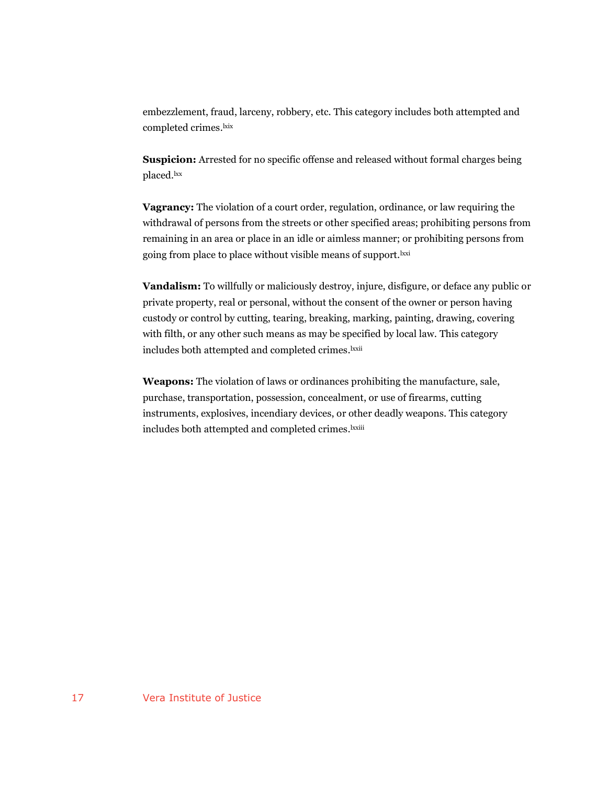embezzlement, fraud, larceny, robbery, etc. This category includes both attempted and completed crimes.<sup>kix</sup>

**Suspicion:** Arrested for no specific offense and released without formal charges being placed.lxx

**Vagrancy:** The violation of a court order, regulation, ordinance, or law requiring the withdrawal of persons from the streets or other specified areas; prohibiting persons from remaining in an area or place in an idle or aimless manner; or prohibiting persons from going from place to place without visible means of support.<sup>lxxi</sup>

**Vandalism:** To willfully or maliciously destroy, injure, disfigure, or deface any public or private property, real or personal, without the consent of the owner or person having custody or control by cutting, tearing, breaking, marking, painting, drawing, covering with filth, or any other such means as may be specified by local law. This category includes both attempted and completed crimes. lxxii

**Weapons:** The violation of laws or ordinances prohibiting the manufacture, sale, purchase, transportation, possession, concealment, or use of firearms, cutting instruments, explosives, incendiary devices, or other deadly weapons. This category includes both attempted and completed crimes. lxxiii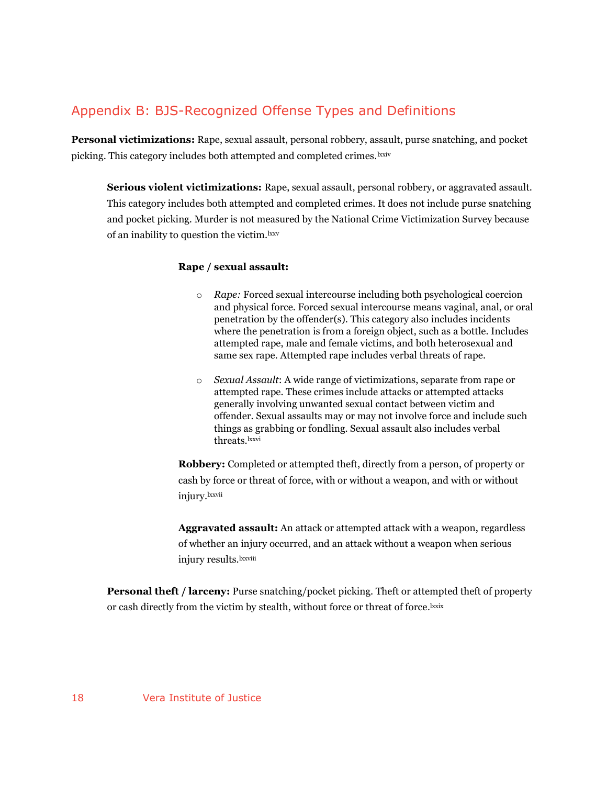## Appendix B: BJS-Recognized Offense Types and Definitions

**Personal victimizations:** Rape, sexual assault, personal robbery, assault, purse snatching, and pocket picking. This category includes both attempted and completed crimes. lxxiv

**Serious violent victimizations:** Rape, sexual assault, personal robbery, or aggravated assault. This category includes both attempted and completed crimes. It does not include purse snatching and pocket picking. Murder is not measured by the National Crime Victimization Survey because of an inability to question the victim. Ixxv

#### **Rape / sexual assault:**

- o *Rape:* Forced sexual intercourse including both psychological coercion and physical force. Forced sexual intercourse means vaginal, anal, or oral penetration by the offender(s). This category also includes incidents where the penetration is from a foreign object, such as a bottle. Includes attempted rape, male and female victims, and both heterosexual and same sex rape. Attempted rape includes verbal threats of rape.
- o *Sexual Assault*: A wide range of victimizations, separate from rape or attempted rape. These crimes include attacks or attempted attacks generally involving unwanted sexual contact between victim and offender. Sexual assaults may or may not involve force and include such things as grabbing or fondling. Sexual assault also includes verbal threats.lxxvi

**Robbery:** Completed or attempted theft, directly from a person, of property or cash by force or threat of force, with or without a weapon, and with or without injury.lxxvii

**Aggravated assault:** An attack or attempted attack with a weapon, regardless of whether an injury occurred, and an attack without a weapon when serious injury results.<sup>lxxviii</sup>

**Personal theft / larceny:** Purse snatching/pocket picking. Theft or attempted theft of property or cash directly from the victim by stealth, without force or threat of force.<sup>1xxix</sup>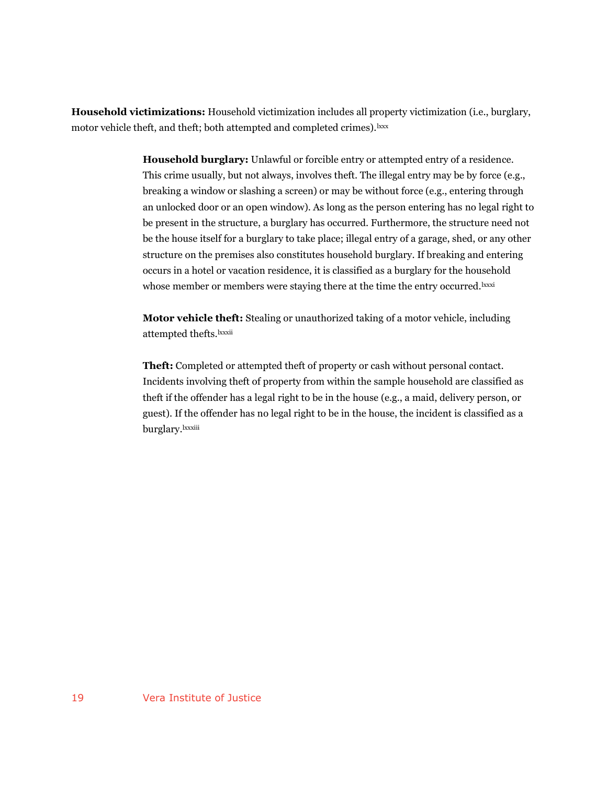**Household victimizations:** Household victimization includes all property victimization (i.e., burglary, motor vehicle theft, and theft; both attempted and completed crimes).<sup>lxxx</sup>

> **Household burglary:** Unlawful or forcible entry or attempted entry of a residence. This crime usually, but not always, involves theft. The illegal entry may be by force (e.g., breaking a window or slashing a screen) or may be without force (e.g., entering through an unlocked door or an open window). As long as the person entering has no legal right to be present in the structure, a burglary has occurred. Furthermore, the structure need not be the house itself for a burglary to take place; illegal entry of a garage, shed, or any other structure on the premises also constitutes household burglary. If breaking and entering occurs in a hotel or vacation residence, it is classified as a burglary for the household whose member or members were staying there at the time the entry occurred.<sup>lxxxi</sup>

**Motor vehicle theft:** Stealing or unauthorized taking of a motor vehicle, including attempted thefts.lxxxii

**Theft:** Completed or attempted theft of property or cash without personal contact. Incidents involving theft of property from within the sample household are classified as theft if the offender has a legal right to be in the house (e.g., a maid, delivery person, or guest). If the offender has no legal right to be in the house, the incident is classified as a burglary.lxxxiii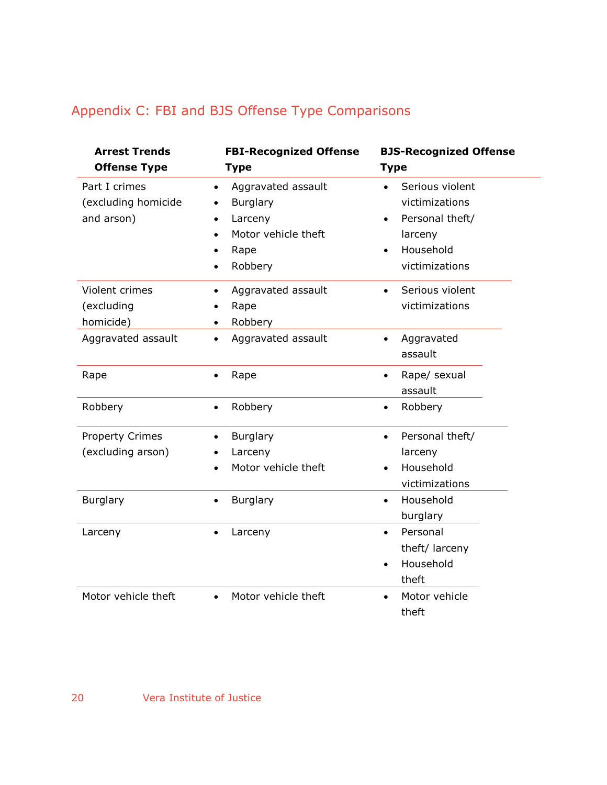## Appendix C: FBI and BJS Offense Type Comparisons

| <b>Arrest Trends</b>                               | <b>FBI-Recognized Offense</b>                                                                                                                  | <b>BJS-Recognized Offense</b>                                                                                            |
|----------------------------------------------------|------------------------------------------------------------------------------------------------------------------------------------------------|--------------------------------------------------------------------------------------------------------------------------|
| <b>Offense Type</b>                                | <b>Type</b>                                                                                                                                    | <b>Type</b>                                                                                                              |
| Part I crimes<br>(excluding homicide<br>and arson) | Aggravated assault<br>$\bullet$<br><b>Burglary</b><br>$\bullet$<br>Larceny<br>$\bullet$<br>Motor vehicle theft<br>Rape<br>Robbery<br>$\bullet$ | Serious violent<br>$\bullet$<br>victimizations<br>Personal theft/<br>larceny<br>Household<br>$\bullet$<br>victimizations |
| Violent crimes<br>(excluding<br>homicide)          | Aggravated assault<br>$\bullet$<br>Rape<br>$\bullet$<br>Robbery<br>$\bullet$                                                                   | Serious violent<br>$\bullet$<br>victimizations                                                                           |
| Aggravated assault                                 | Aggravated assault<br>$\bullet$                                                                                                                | Aggravated<br>$\bullet$<br>assault                                                                                       |
| Rape                                               | Rape<br>$\bullet$                                                                                                                              | Rape/ sexual<br>$\bullet$<br>assault                                                                                     |
| Robbery                                            | Robbery<br>$\bullet$                                                                                                                           | Robbery<br>$\bullet$                                                                                                     |
| <b>Property Crimes</b><br>(excluding arson)        | Burglary<br>$\bullet$<br>Larceny<br>$\bullet$<br>Motor vehicle theft                                                                           | Personal theft/<br>$\bullet$<br>larceny<br>Household<br>victimizations                                                   |
| Burglary                                           | Burglary<br>$\bullet$                                                                                                                          | Household<br>$\bullet$<br>burglary                                                                                       |
| Larceny                                            | Larceny<br>$\bullet$                                                                                                                           | Personal<br>$\bullet$<br>theft/ larceny<br>Household<br>theft                                                            |
| Motor vehicle theft                                | Motor vehicle theft<br>$\bullet$                                                                                                               | Motor vehicle<br>$\bullet$<br>theft                                                                                      |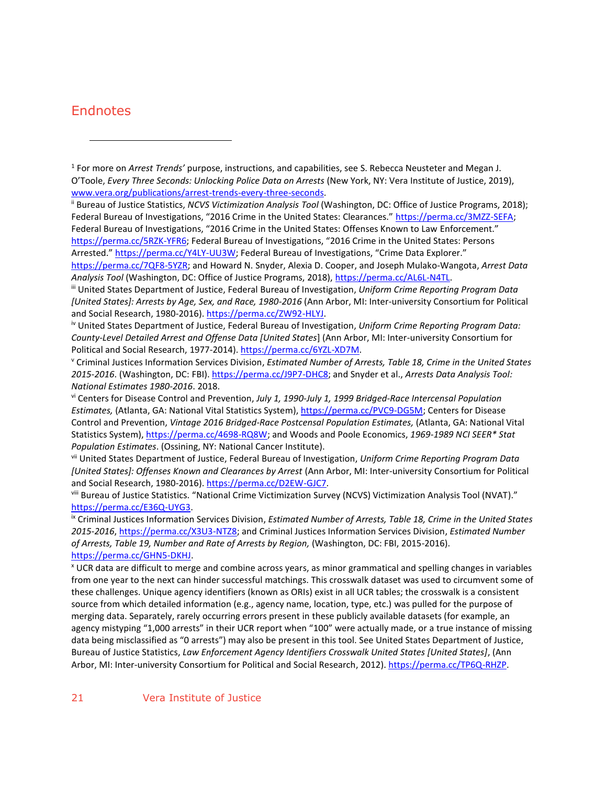### **Endnotes**

 $\overline{a}$ 

ii Bureau of Justice Statistics, *NCVS Victimization Analysis Tool* (Washington, DC: Office of Justice Programs, 2018); Federal Bureau of Investigations, "2016 Crime in the United States: Clearances." https://perma.cc/3MZZ-SEFA; Federal Bureau of Investigations, "2016 Crime in the United States: Offenses Known to Law Enforcement." https://perma.cc/5RZK-YFR6; Federal Bureau of Investigations, "2016 Crime in the United States: Persons Arrested." https://perma.cc/Y4LY-UU3W; Federal Bureau of Investigations, "Crime Data Explorer."

https://perma.cc/7QF8-5YZR; and Howard N. Snyder, Alexia D. Cooper, and Joseph Mulako-Wangota, *Arrest Data Analysis Tool* (Washington, DC: Office of Justice Programs, 2018), https://perma.cc/AL6L-N4TL.

iii United States Department of Justice, Federal Bureau of Investigation, *Uniform Crime Reporting Program Data [United States]: Arrests by Age, Sex, and Race, 1980-2016* (Ann Arbor, MI: Inter-university Consortium for Political and Social Research, 1980-2016)[. https://perma.cc/ZW92-HLYJ.](https://perma.cc/ZW92-HLYJ)

iv United States Department of Justice, Federal Bureau of Investigation, *Uniform Crime Reporting Program Data: County-Level Detailed Arrest and Offense Data [United States*] (Ann Arbor, MI: Inter-university Consortium for Political and Social Research, 1977-2014). https://perma.cc/6YZL-XD7M.

<sup>v</sup> Criminal Justices Information Services Division, *Estimated Number of Arrests, Table 18, Crime in the United States 2015-2016*. (Washington, DC: FBI). https://perma.cc/J9P7-DHC8; and Snyder et al., *Arrests Data Analysis Tool: National Estimates 1980-2016*. 2018.

vi Centers for Disease Control and Prevention, *July 1, 1990-July 1, 1999 Bridged-Race Intercensal Population Estimates,* (Atlanta, GA: National Vital Statistics System), https://perma.cc/PVC9-DG5M; Centers for Disease Control and Prevention, *Vintage 2016 Bridged-Race Postcensal Population Estimates,* (Atlanta, GA: National Vital Statistics System), https://perma.cc/4698-RQ8W; and Woods and Poole Economics, *1969-1989 NCI SEER\* Stat Population Estimates*. (Ossining, NY: National Cancer Institute).

vii United States Department of Justice, Federal Bureau of Investigation, *Uniform Crime Reporting Program Data [United States]: Offenses Known and Clearances by Arrest* (Ann Arbor, MI: Inter-university Consortium for Political and Social Research, 1980-2016). https://perma.cc/D2EW-GJC7.

viii Bureau of Justice Statistics. "National Crime Victimization Survey (NCVS) Victimization Analysis Tool (NVAT)." https://perma.cc/E36Q-UYG3.

ix Criminal Justices Information Services Division, *Estimated Number of Arrests, Table 18, Crime in the United States 2015-2016*, https://perma.cc/X3U3-NTZ8; and Criminal Justices Information Services Division, *Estimated Number of Arrests, Table 19, Number and Rate of Arrests by Region,* (Washington, DC: FBI, 2015-2016). https://perma.cc/GHN5-DKHJ.

<sup>x</sup> UCR data are difficult to merge and combine across years, as minor grammatical and spelling changes in variables from one year to the next can hinder successful matchings. This crosswalk dataset was used to circumvent some of these challenges. Unique agency identifiers (known as ORIs) exist in all UCR tables; the crosswalk is a consistent source from which detailed information (e.g., agency name, location, type, etc.) was pulled for the purpose of merging data. Separately, rarely occurring errors present in these publicly available datasets (for example, an agency mistyping "1,000 arrests" in their UCR report when "100" were actually made, or a true instance of missing data being misclassified as "0 arrests") may also be present in this tool. See United States Department of Justice, Bureau of Justice Statistics, *Law Enforcement Agency Identifiers Crosswalk United States [United States]*, (Ann Arbor, MI: Inter-university Consortium for Political and Social Research, 2012). https://perma.cc/TP6Q-RHZP.

<sup>1</sup> For more on *Arrest Trends'* purpose, instructions, and capabilities, see S. Rebecca Neusteter and Megan J. O'Toole, *Every Three Seconds: Unlocking Police Data on Arrests* (New York, NY: Vera Institute of Justice, 2019), [www.vera.org/publications/arrest-trends-every-three-seconds.](http://www.vera.org/publications/arrest-trends-every-three-seconds)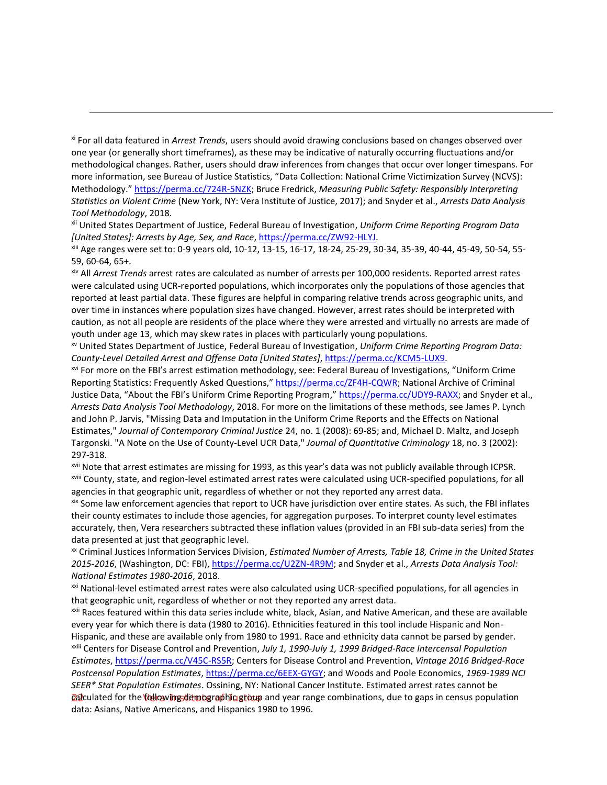xi For all data featured in *Arrest Trends*, users should avoid drawing conclusions based on changes observed over one year (or generally short timeframes), as these may be indicative of naturally occurring fluctuations and/or methodological changes. Rather, users should draw inferences from changes that occur over longer timespans. For more information, see Bureau of Justice Statistics, "Data Collection: National Crime Victimization Survey (NCVS): Methodology." https://perma.cc/724R-5NZK; Bruce Fredrick, *Measuring Public Safety: Responsibly Interpreting Statistics on Violent Crime* (New York, NY: Vera Institute of Justice, 2017); and Snyder et al., *Arrests Data Analysis Tool Methodology*, 2018.

 $\overline{a}$ 

xii United States Department of Justice, Federal Bureau of Investigation, *Uniform Crime Reporting Program Data [United States]: Arrests by Age, Sex, and Race*, [https://perma.cc/ZW92-HLYJ.](https://perma.cc/ZW92-HLYJ)

xiii Age ranges were set to: 0-9 years old, 10-12, 13-15, 16-17, 18-24, 25-29, 30-34, 35-39, 40-44, 45-49, 50-54, 55- 59, 60-64, 65+.

xiv All *Arrest Trends* arrest rates are calculated as number of arrests per 100,000 residents. Reported arrest rates were calculated using UCR-reported populations, which incorporates only the populations of those agencies that reported at least partial data. These figures are helpful in comparing relative trends across geographic units, and over time in instances where population sizes have changed. However, arrest rates should be interpreted with caution, as not all people are residents of the place where they were arrested and virtually no arrests are made of youth under age 13, which may skew rates in places with particularly young populations.

xv United States Department of Justice, Federal Bureau of Investigation, *Uniform Crime Reporting Program Data: County-Level Detailed Arrest and Offense Data [United States]*, https://perma.cc/KCM5-LUX9.

xvi For more on the FBI's arrest estimation methodology, see: Federal Bureau of Investigations, "Uniform Crime Reporting Statistics: Frequently Asked Questions," https://perma.cc/ZF4H-CQWR; National Archive of Criminal Justice Data, "About the FBI's Uniform Crime Reporting Program," https://perma.cc/UDY9-RAXX; and Snyder et al., *Arrests Data Analysis Tool Methodology*, 2018. For more on the limitations of these methods, see James P. Lynch and John P. Jarvis, "Missing Data and Imputation in the Uniform Crime Reports and the Effects on National Estimates," *Journal of Contemporary Criminal Justice* 24, no. 1 (2008): 69‐85; and, Michael D. Maltz, and Joseph Targonski. "A Note on the Use of County‐Level UCR Data," *Journal of Quantitative Criminology* 18, no. 3 (2002): 297‐318.

xvii Note that arrest estimates are missing for 1993, as this year's data was not publicly available through ICPSR. xviii County, state, and region-level estimated arrest rates were calculated using UCR-specified populations, for all agencies in that geographic unit, regardless of whether or not they reported any arrest data.

xix Some law enforcement agencies that report to UCR have jurisdiction over entire states. As such, the FBI inflates their county estimates to include those agencies, for aggregation purposes. To interpret county level estimates accurately, then, Vera researchers subtracted these inflation values (provided in an FBI sub-data series) from the data presented at just that geographic level.

xx Criminal Justices Information Services Division, *Estimated Number of Arrests, Table 18, Crime in the United States 2015-2016*, (Washington, DC: FBI), https://perma.cc/U2ZN-4R9M; and Snyder et al., *Arrests Data Analysis Tool: National Estimates 1980-2016*, 2018.

<sup>xxi</sup> National-level estimated arrest rates were also calculated using UCR-specified populations, for all agencies in that geographic unit, regardless of whether or not they reported any arrest data.

xxii Races featured within this data series include white, black, Asian, and Native American, and these are available every year for which there is data (1980 to 2016). Ethnicities featured in this tool include Hispanic and Non-Hispanic, and these are available only from 1980 to 1991. Race and ethnicity data cannot be parsed by gender. xxiii Centers for Disease Control and Prevention, *July 1, 1990-July 1, 1999 Bridged-Race Intercensal Population* 

*cal***culated for the following demographiq group** and year range combinations, due to gaps in census population *Estimates*, https://perma.cc/V45C-RS5R; Centers for Disease Control and Prevention, *Vintage 2016 Bridged-Race Postcensal Population Estimates*, https://perma.cc/6EEX-GYGY; and Woods and Poole Economics, *1969-1989 NCI SEER\* Stat Population Estimates*. Ossining, NY: National Cancer Institute. Estimated arrest rates cannot be data: Asians, Native Americans, and Hispanics 1980 to 1996.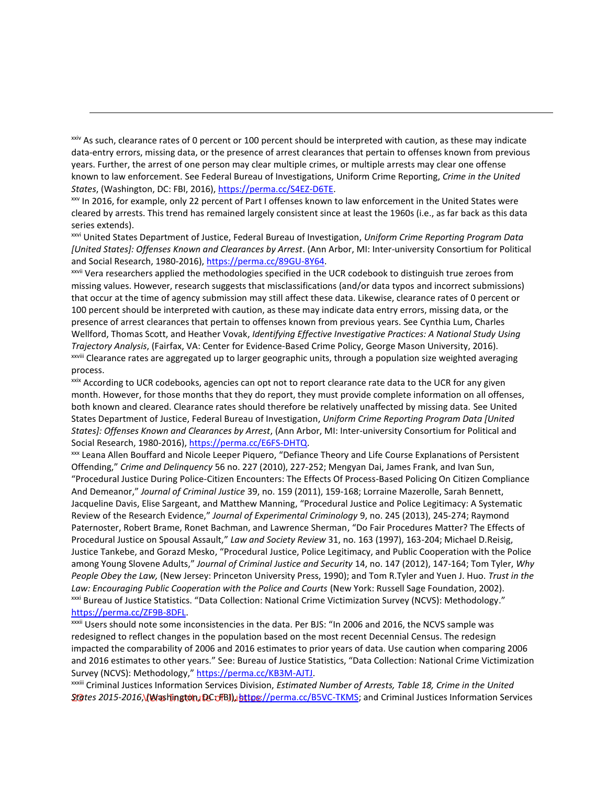xxiv As such, clearance rates of 0 percent or 100 percent should be interpreted with caution, as these may indicate data-entry errors, missing data, or the presence of arrest clearances that pertain to offenses known from previous years. Further, the arrest of one person may clear multiple crimes, or multiple arrests may clear one offense known to law enforcement. See Federal Bureau of Investigations, Uniform Crime Reporting, *Crime in the United States*, (Washington, DC: FBI, 2016), https://perma.cc/S4EZ-D6TE.

 $\overline{a}$ 

xxv In 2016, for example, only 22 percent of Part I offenses known to law enforcement in the United States were cleared by arrests. This trend has remained largely consistent since at least the 1960s (i.e., as far back as this data series extends).

xxvi United States Department of Justice, Federal Bureau of Investigation, *Uniform Crime Reporting Program Data [United States]: Offenses Known and Clearances by Arrest*. (Ann Arbor, MI: Inter-university Consortium for Political and Social Research, 1980-2016), https://perma.cc/89GU-8Y64.

xxvii Vera researchers applied the methodologies specified in the UCR codebook to distinguish true zeroes from missing values. However, research suggests that misclassifications (and/or data typos and incorrect submissions) that occur at the time of agency submission may still affect these data. Likewise, clearance rates of 0 percent or 100 percent should be interpreted with caution, as these may indicate data entry errors, missing data, or the presence of arrest clearances that pertain to offenses known from previous years. See Cynthia Lum, Charles Wellford, Thomas Scott, and Heather Vovak, *Identifying Effective Investigative Practices: A National Study Using Trajectory Analysis*, (Fairfax, VA: Center for Evidence-Based Crime Policy, George Mason University, 2016). xxviii Clearance rates are aggregated up to larger geographic units, through a population size weighted averaging process.

xxix According to UCR codebooks, agencies can opt not to report clearance rate data to the UCR for any given month. However, for those months that they do report, they must provide complete information on all offenses, both known and cleared. Clearance rates should therefore be relatively unaffected by missing data. See United States Department of Justice, Federal Bureau of Investigation, *Uniform Crime Reporting Program Data [United States]: Offenses Known and Clearances by Arrest*, (Ann Arbor, MI: Inter-university Consortium for Political and Social Research, 1980-2016), https://perma.cc/E6FS-DHTQ.

xxx Leana Allen Bouffard and Nicole Leeper Piquero, "Defiance Theory and Life Course Explanations of Persistent Offending," *Crime and Delinquency* 56 no. 227 (2010), 227-252; Mengyan Dai, James Frank, and Ivan Sun, "Procedural Justice During Police-Citizen Encounters: The Effects Of Process-Based Policing On Citizen Compliance And Demeanor," *Journal of Criminal Justice* 39, no. 159 (2011), 159-168; Lorraine Mazerolle, Sarah Bennett, Jacqueline Davis, Elise Sargeant, and Matthew Manning, "Procedural Justice and Police Legitimacy: A Systematic Review of the Research Evidence," *Journal of Experimental Criminology* 9, no. 245 (2013), 245-274; Raymond Paternoster, Robert Brame, Ronet Bachman, and Lawrence Sherman, "Do Fair Procedures Matter? The Effects of Procedural Justice on Spousal Assault," *Law and Society Review* 31, no. 163 (1997), 163-204; Michael D.Reisig, Justice Tankebe, and Gorazd Mesko, "Procedural Justice, Police Legitimacy, and Public Cooperation with the Police among Young Slovene Adults," *Journal of Criminal Justice and Security* 14, no. 147 (2012), 147-164; Tom Tyler, *Why People Obey the Law,* (New Jersey: Princeton University Press, 1990); and Tom R.Tyler and Yuen J. Huo. *Trust in the Law: Encouraging Public Cooperation with the Police and Courts* (New York: Russell Sage Foundation, 2002). xxxi Bureau of Justice Statistics. "Data Collection: National Crime Victimization Survey (NCVS): Methodology." https://perma.cc/ZF9B-8DFL.

xxxii Users should note some inconsistencies in the data. Per BJS: "In 2006 and 2016, the NCVS sample was redesigned to reflect changes in the population based on the most recent Decennial Census. The redesign impacted the comparability of 2006 and 2016 estimates to prior years of data. Use caution when comparing 2006 and 2016 estimates to other years." See: Bureau of Justice Statistics, "Data Collection: National Crime Victimization Survey (NCVS): Methodology," https://perma.cc/KB3M-AJTJ.

<u>ያf</u>∂tes 2015-2016,\**(Washington, DC: FBI),, <u>https://perma.cc/B5VC-TKMS;</u> and Criminal Justices Information Services** xxxiii Criminal Justices Information Services Division, *Estimated Number of Arrests, Table 18, Crime in the United*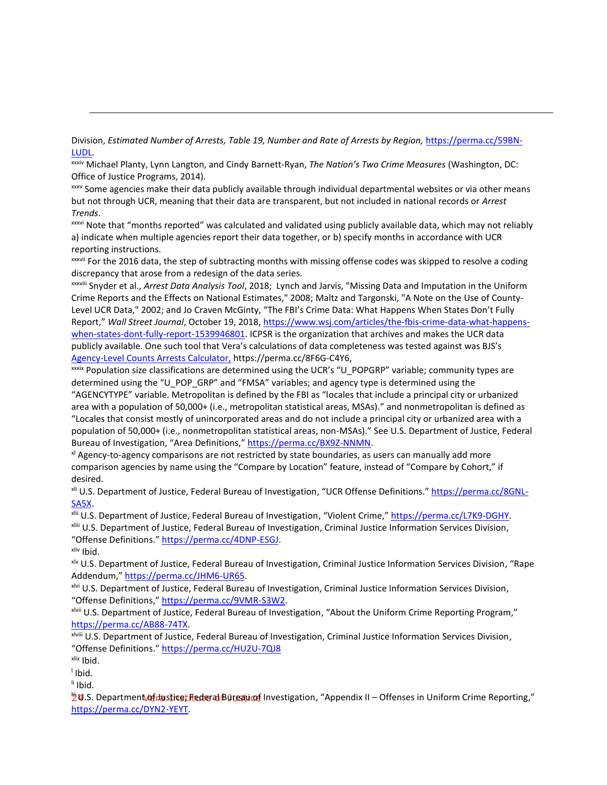Division, *Estimated Number of Arrests, Table 19, Number and Rate of Arrests by Region,* https://perma.cc/59BN-LUDL.

xxxiv Michael Planty, Lynn Langton, and Cindy Barnett-Ryan, *The Nation's Two Crime Measures* (Washington, DC: Office of Justice Programs, 2014).

xxxv Some agencies make their data publicly available through individual departmental websites or via other means but not through UCR, meaning that their data are transparent, but not included in national records or *Arrest Trends*.

xxxvi Note that "months reported" was calculated and validated using publicly available data, which may not reliably a) indicate when multiple agencies report their data together, or b) specify months in accordance with UCR reporting instructions.

xxxvii For the 2016 data, the step of subtracting months with missing offense codes was skipped to resolve a coding discrepancy that arose from a redesign of the data series.

xxxviii Snyder et al., *Arrest Data Analysis Tool*, 2018; Lynch and Jarvis, "Missing Data and Imputation in the Uniform Crime Reports and the Effects on National Estimates," 2008; Maltz and Targonski, "A Note on the Use of County‐ Level UCR Data," 2002; and Jo Craven McGinty, "The FBI's Crime Data: What Happens When States Don't Fully Report," *Wall Street Journal*, October 19, 2018[, https://www.wsj.com/articles/the-fbis-crime-data-what-happens](https://www.wsj.com/articles/the-fbis-crime-data-what-happens-when-states-dont-fully-report-1539946801)[when-states-dont-fully-report-1539946801.](https://www.wsj.com/articles/the-fbis-crime-data-what-happens-when-states-dont-fully-report-1539946801) ICPSR is the organization that archives and makes the UCR data publicly available. One such tool that Vera's calculations of data completeness was tested against was BJS's Agency-Level Counts Arrests Calculator, https://perma.cc/8F6G-C4Y6,

xxxix Population size classifications are determined using the UCR's "U\_POPGRP" variable; community types are determined using the "U\_POP\_GRP" and "FMSA" variables; and agency type is determined using the "AGENCYTYPE" variable. Metropolitan is defined by the FBI as "locales that include a principal city or urbanized area with a population of 50,000+ (i.e., metropolitan statistical areas, MSAs)." and nonmetropolitan is defined as "Locales that consist mostly of unincorporated areas and do not include a principal city or urbanized area with a population of 50,000+ (i.e., nonmetropolitan statistical areas, non-MSAs)." See U.S. Department of Justice, Federal Bureau of Investigation, "Area Definitions," https://perma.cc/BX9Z-NNMN.

x Agency-to-agency comparisons are not restricted by state boundaries, as users can manually add more comparison agencies by name using the "Compare by Location" feature, instead of "Compare by Cohort," if desired.

x<sup>ii</sup> U.S. Department of Justice, Federal Bureau of Investigation, "UCR Offense Definitions." https://perma.cc/8GNL-SA5X.

xlii U.S. Department of Justice, Federal Bureau of Investigation, "Violent Crime," https://perma.cc/L7K9-DGHY. xliii U.S. Department of Justice, Federal Bureau of Investigation, Criminal Justice Information Services Division, "Offense Definitions." https://perma.cc/4DNP-ESGJ. xliv Ibid.

xlv U.S. Department of Justice, Federal Bureau of Investigation, Criminal Justice Information Services Division, "Rape Addendum," https://perma.cc/JHM6-UR65.

xlvi U.S. Department of Justice, Federal Bureau of Investigation, Criminal Justice Information Services Division, "Offense Definitions," https://perma.cc/9VMR-S3W2.

xlvii U.S. Department of Justice, Federal Bureau of Investigation, "About the Uniform Crime Reporting Program," https://perma.cc/AB88-74TX.

xlviii U.S. Department of Justice, Federal Bureau of Investigation, Criminal Justice Information Services Division, "Offense Definitions." https://perma.cc/HU2U-7QJ8

xlix Ibid.

 $\overline{a}$ 

l Ibid.

li Ibid.

p1.S. Department of Justice, Federal Bureau of Investigation, "Appendix II – Offenses in Uniform Crime Reporting," https://perma.cc/DYN2-YEYT.